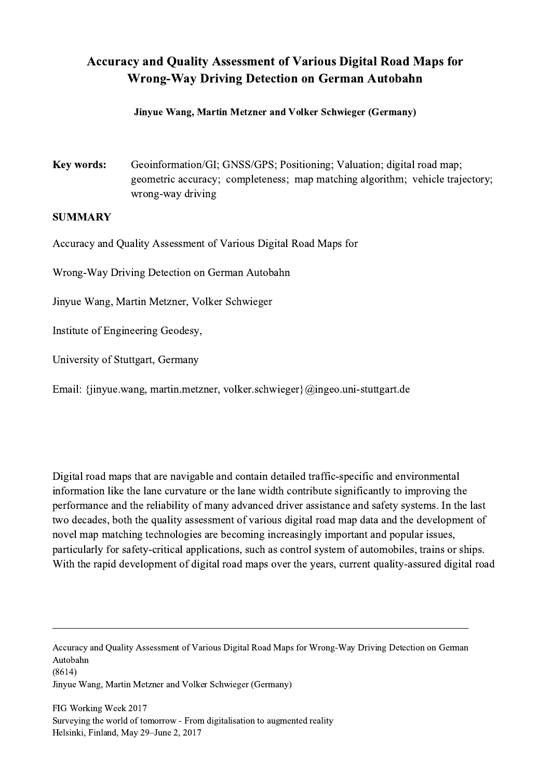## Accuracy and Quality Assessment of Various Digital Road Maps for Wrong-Way Driving Detection on German Autobahn

## Jinyue Wang, Martin Metzner and Volker Schwieger (Germany)

Key words: Geoinformation/GI; GNSS/GPS; Positioning; Valuation; digital road map; geometric accuracy; completeness; map matching algorithm; vehicle trajectory; wrong-way driving

## **SUMMARY**

Accuracy and Quality Assessment of Various Digital Road Maps for

Wrong-Way Driving Detection on German Autobahn

Jinyue Wang, Martin Metzner, Volker Schwieger

Institute of Engineering Geodesy,

University of Stuttgart, Germany

Email: {jinyue.wang, martin.metzner, volker.schwieger}@ingeo.uni-stuttgart.de

Digital road maps that are navigable and contain detailed traffic-specific and environmental information like the lane curvature or the lane width contribute significantly to improving the performance and the reliability of many advanced driver assistance and safety systems. In the last two decades, both the quality assessment of various digital road map data and the development of novel map matching technologies are becoming increasingly important and popular issues, particularly for safety-critical applications, such as control system of automobiles, trains or ships. With the rapid development of digital road maps over the years, current quality-assured digital road

Accuracy and Quality Assessment of Various Digital Road Maps for Wrong-Way Driving Detection on German Autobahn (8614) Jinyue Wang, Martin Metzner and Volker Schwieger (Germany)

 $\mathcal{L}_\mathcal{L} = \{ \mathcal{L}_\mathcal{L} = \{ \mathcal{L}_\mathcal{L} = \{ \mathcal{L}_\mathcal{L} = \{ \mathcal{L}_\mathcal{L} = \{ \mathcal{L}_\mathcal{L} = \{ \mathcal{L}_\mathcal{L} = \{ \mathcal{L}_\mathcal{L} = \{ \mathcal{L}_\mathcal{L} = \{ \mathcal{L}_\mathcal{L} = \{ \mathcal{L}_\mathcal{L} = \{ \mathcal{L}_\mathcal{L} = \{ \mathcal{L}_\mathcal{L} = \{ \mathcal{L}_\mathcal{L} = \{ \mathcal{L}_\mathcal{$ 

FIG Working Week 2017 Surveying the world of tomorrow - From digitalisation to augmented reality Helsinki, Finland, May 29–June 2, 2017